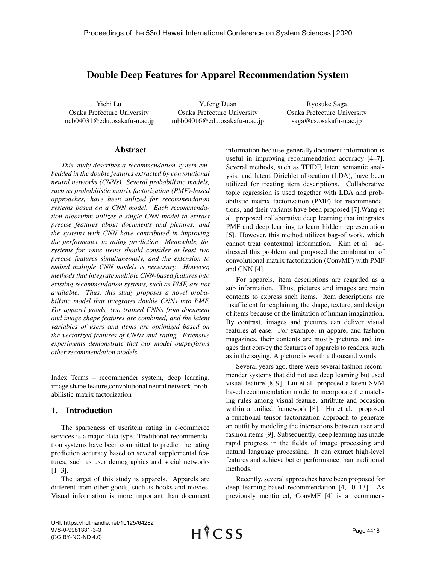# Double Deep Features for Apparel Recommendation System

Yichi Lu Osaka Prefecture University mcb04031@edu.osakafu-u.ac.jp

Yufeng Duan Osaka Prefecture University mbb04016@edu.osakafu-u.ac.jp

Ryosuke Saga Osaka Prefecture University saga@cs.osakafu-u.ac.jp

### Abstract

*This study describes a recommendation system embedded in the double features extracted by convolutional neural networks (CNNs). Several probabilistic models, such as probabilistic matrix factorization (PMF)-based approaches, have been utilized for recommendation systems based on a CNN model. Each recommendation algorithm utilizes a single CNN model to extract precise features about documents and pictures, and the systems with CNN have contributed in improving the performance in rating prediction. Meanwhile, the systems for some items should consider at least two precise features simultaneously, and the extension to embed multiple CNN models is necessary. However, methods that integrate multiple CNN-based features into existing recommendation systems, such as PMF, are not available. Thus, this study proposes a novel probabilistic model that integrates double CNNs into PMF. For apparel goods, two trained CNNs from document and image shape features are combined, and the latent variables of users and items are optimized based on the vectorized features of CNNs and rating. Extensive experiments demonstrate that our model outperforms other recommendation models.*

Index Terms – recommender system, deep learning, image shape feature,convolutional neural network, probabilistic matrix factorization

## 1. Introduction

The sparseness of useritem rating in e-commerce services is a major data type. Traditional recommendation systems have been committed to predict the rating prediction accuracy based on several supplemental features, such as user demographics and social networks  $[1-3]$ .

The target of this study is apparels. Apparels are different from other goods, such as books and movies. Visual information is more important than document information because generally,document information is useful in improving recommendation accuracy [4–7]. Several methods, such as TFIDF, latent semantic analysis, and latent Dirichlet allocation (LDA), have been utilized for treating item descriptions. Collaborative topic regression is used together with LDA and probabilistic matrix factorization (PMF) for recommendations, and their variants have been proposed [7].Wang et al. proposed collaborative deep learning that integrates PMF and deep learning to learn hidden representation [6]. However, this method utilizes bag-of work, which cannot treat contextual information. Kim et al. addressed this problem and proposed the combination of convolutional matrix factorization (ConvMF) with PMF and CNN [4].

For apparels, item descriptions are regarded as a sub information. Thus, pictures and images are main contents to express such items. Item descriptions are insufficient for explaining the shape, texture, and design of items because of the limitation of human imagination. By contrast, images and pictures can deliver visual features at ease. For example, in apparel and fashion magazines, their contents are mostly pictures and images that convey the features of apparels to readers, such as in the saying, A picture is worth a thousand words.

Several years ago, there were several fashion recommender systems that did not use deep learning but used visual feature [8, 9]. Liu et al. proposed a latent SVM based recommendation model to incorporate the matching rules among visual feature, attribute and occasion within a unified framework [8]. Hu et al. proposed a functional tensor factorization approach to generate an outfit by modeling the interactions between user and fashion items [9]. Subsequently, deep learning has made rapid progress in the fields of image processing and natural language processing. It can extract high-level features and achieve better performance than traditional methods.

Recently, several approaches have been proposed for deep learning-based recommendation [4, 10–13]. As previously mentioned, ConvMF [4] is a recommen-

URI: https://hdl.handle.net/10125/64282 978-0-9981331-3-3 (CC BY-NC-ND 4.0)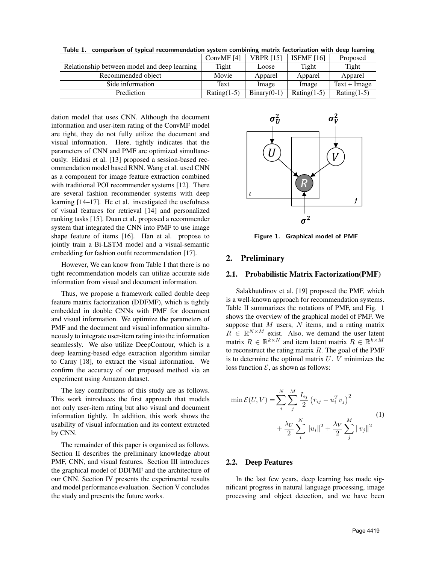Table 1. comparison of typical recommendation system combining matrix factorization with deep learning

|                                              | ConvMF [4]     | <b>VBPR [15]</b> | ISFMF $[16]$   | Proposed       |
|----------------------------------------------|----------------|------------------|----------------|----------------|
| Relationship between model and deep learning | Tight          | Loose            | Tight          | Tight          |
| Recommended object                           | Movie          | Apparel          | Apparel        | Apparel        |
| Side information                             | Text           | Image            | Image          | $Text + Image$ |
| Prediction                                   | Rating $(1-5)$ | $Binary(0-1)$    | Rating $(1-5)$ | Rating $(1-5)$ |

dation model that uses CNN. Although the document information and user-item rating of the ConvMF model are tight, they do not fully utilize the document and visual information. Here, tightly indicates that the parameters of CNN and PMF are optimized simultaneously. Hidasi et al. [13] proposed a session-based recommendation model based RNN. Wang et al. used CNN as a component for image feature extraction combined with traditional POI recommender systems [12]. There are several fashion recommender systems with deep learning [14–17]. He et al. investigated the usefulness of visual features for retrieval [14] and personalized ranking tasks [15]. Duan et al. proposed a recommender system that integrated the CNN into PMF to use image shape feature of items [16]. Han et al. propose to jointly train a Bi-LSTM model and a visual-semantic embedding for fashion outfit recommendation [17].

However, We can know from Table I that there is no tight recommendation models can utilize accurate side information from visual and document information.

Thus, we propose a framework called double deep feature matrix factorization (DDFMF), which is tightly embedded in double CNNs with PMF for document and visual information. We optimize the parameters of PMF and the document and visual information simultaneously to integrate user-item rating into the information seamlessly. We also utilize DeepContour, which is a deep learning-based edge extraction algorithm similar to Carny [18], to extract the visual information. We confirm the accuracy of our proposed method via an experiment using Amazon dataset.

The key contributions of this study are as follows. This work introduces the first approach that models not only user-item rating but also visual and document information tightly. In addition, this work shows the usability of visual information and its context extracted by CNN.

The remainder of this paper is organized as follows. Section II describes the preliminary knowledge about PMF, CNN, and visual features. Section III introduces the graphical model of DDFMF and the architecture of our CNN. Section IV presents the experimental results and model performance evaluation. Section V concludes the study and presents the future works.



Figure 1. Graphical model of PMF

### 2. Preliminary

#### 2.1. Probabilistic Matrix Factorization(PMF)

Salakhutdinov et al. [19] proposed the PMF, which is a well-known approach for recommendation systems. Table II summarizes the notations of PMF, and Fig. 1 shows the overview of the graphical model of PMF. We suppose that  $M$  users,  $N$  items, and a rating matrix  $R \in \mathbb{R}^{N \times M}$  exist. Also, we demand the user latent matrix  $R \in \mathbb{R}^{k \times N}$  and item latent matrix  $R \in \mathbb{R}^{k \times M}$ to reconstruct the rating matrix  $R$ . The goal of the PMF is to determine the optimal matrix  $U$ .  $V$  minimizes the loss function  $\mathcal{E}$ , as shown as follows:

$$
\min \mathcal{E}(U, V) = \sum_{i}^{N} \sum_{j}^{M} \frac{I_{ij}}{2} (r_{ij} - u_{i}^{T} v_{j})^{2} + \frac{\lambda_{U}}{2} \sum_{i}^{N} ||u_{i}||^{2} + \frac{\lambda_{V}}{2} \sum_{j}^{M} ||v_{j}||^{2}
$$
\n(1)

#### 2.2. Deep Features

In the last few years, deep learning has made significant progress in natural language processing, image processing and object detection, and we have been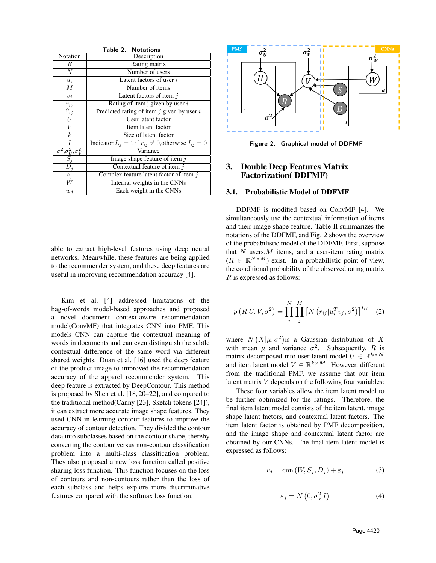| <b>Table 2. Notations</b>                      |                                                                     |  |  |  |  |
|------------------------------------------------|---------------------------------------------------------------------|--|--|--|--|
| Notation                                       | Description                                                         |  |  |  |  |
| R                                              | Rating matrix                                                       |  |  |  |  |
| $\overline{N}$                                 | Number of users                                                     |  |  |  |  |
| $u_i$                                          | Latent factors of user $i$                                          |  |  |  |  |
| $\boldsymbol{M}$                               | Number of items                                                     |  |  |  |  |
| $v_j$                                          | Latent factors of item $j$                                          |  |  |  |  |
|                                                | Rating of item j given by user $i$                                  |  |  |  |  |
| $\frac{r_{ij}}{\hat{r}_{ij}}$                  | Predicted rating of item $j$ given by user $i$                      |  |  |  |  |
|                                                | User latent factor                                                  |  |  |  |  |
| $\overline{V}$                                 | Item latent factor                                                  |  |  |  |  |
| $\boldsymbol{k}$                               | Size of latent factor                                               |  |  |  |  |
|                                                | Indicator, $I_{ij} = 1$ if $r_{ij} \neq 0$ , otherwise $I_{ij} = 0$ |  |  |  |  |
|                                                | Variance                                                            |  |  |  |  |
| $\frac{\sigma^2, \sigma_U^2, \sigma_V^2}{S_j}$ | Image shape feature of item $j$                                     |  |  |  |  |
| $\overline{D}_j$                               | Contextual feature of item $j$                                      |  |  |  |  |
| $s_j$                                          | Complex feature latent factor of item $j$                           |  |  |  |  |
| W                                              | Internal weights in the CNNs                                        |  |  |  |  |
| $w_d$                                          | Each weight in the CNNs                                             |  |  |  |  |

able to extract high-level features using deep neural networks. Meanwhile, these features are being applied to the recommender system, and these deep features are useful in improving recommendation accuracy [4].

Kim et al. [4] addressed limitations of the bag-of-words model-based approaches and proposed a novel document context-aware recommendation model(ConvMF) that integrates CNN into PMF. This models CNN can capture the contextual meaning of words in documents and can even distinguish the subtle contextual difference of the same word via different shared weights. Duan et al. [16] used the deep feature of the product image to improved the recommendation accuracy of the apparel recommender system. This deep feature is extracted by DeepContour. This method is proposed by Shen et al. [18, 20–22], and compared to the traditional method(Canny [23], Sketch tokens [24]), it can extract more accurate image shape features. They used CNN in learning contour features to improve the accuracy of contour detection. They divided the contour data into subclasses based on the contour shape, thereby converting the contour versus non-contour classification problem into a multi-class classification problem. They also proposed a new loss function called positive sharing loss function. This function focuses on the loss of contours and non-contours rather than the loss of each subclass and helps explore more discriminative features compared with the softmax loss function.



Figure 2. Graphical model of DDFMF

# 3. Double Deep Features Matrix Factorization( DDFMF)

### 3.1. Probabilistic Model of DDFMF

DDFMF is modified based on ConvMF [4]. We simultaneously use the contextual information of items and their image shape feature. Table II summarizes the notations of the DDFMF, and Fig. 2 shows the overview of the probabilistic model of the DDFMF. First, suppose that  $N$  users,  $M$  items, and a user-item rating matrix  $(R \in \mathbb{R}^{N \times M})$  exist. In a probabilistic point of view, the conditional probability of the observed rating matrix R is expressed as follows:

$$
p\left(R|U,V,\sigma^2\right) = \prod_{i}^{N} \prod_{j}^{M} \left[N\left(r_{ij}|u_i^T v_j,\sigma^2\right)\right]^{I_{ij}} \quad (2)
$$

where  $N(X|\mu, \sigma^2)$  is a Gaussian distribution of X with mean  $\mu$  and variance  $\sigma^2$ . Subsequently, R is matrix-decomposed into user latent model  $U \in \mathbb{R}^{k \times N}$ and item latent model  $V \in \mathbb{R}^{k \times M}$ . However, different from the traditional PMF, we assume that our item latent matrix  $V$  depends on the following four variables:

These four variables allow the item latent model to be further optimized for the ratings. Therefore, the final item latent model consists of the item latent, image shape latent factors, and contextual latent factors. The item latent factor is obtained by PMF decomposition, and the image shape and contextual latent factor are obtained by our CNNs. The final item latent model is expressed as follows:

$$
v_j = \text{cnn}(W, S_j, D_j) + \varepsilon_j \tag{3}
$$

$$
\varepsilon_j = N\left(0, \sigma_V^2 I\right) \tag{4}
$$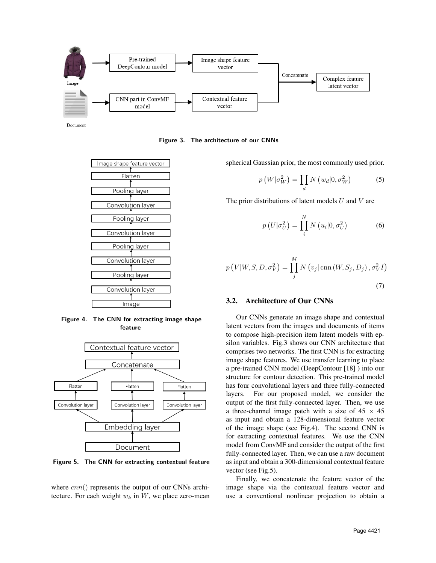

Document

Figure 3. The architecture of our CNNs



Figure 4. The CNN for extracting image shape feature



Figure 5. The CNN for extracting contextual feature

where  $cnn()$  represents the output of our CNNs architecture. For each weight  $w_k$  in  $W$ , we place zero-mean spherical Gaussian prior, the most commonly used prior.

$$
p\left(W|\sigma_W^2\right) = \prod_d N\left(w_d|0, \sigma_W^2\right) \tag{5}
$$

The prior distributions of latent models  $U$  and  $V$  are

$$
p\left(U|\sigma_U^2\right) = \prod_i^N N\left(u_i|0, \sigma_U^2\right) \tag{6}
$$

$$
p(V|W, S, D, \sigma_V^2) = \prod_j^M N(v_j|\text{cnn}(W, S_j, D_j), \sigma_V^2 I)
$$
\n(7)

# 3.2. Architecture of Our CNNs

Our CNNs generate an image shape and contextual latent vectors from the images and documents of items to compose high-precision item latent models with epsilon variables. Fig.3 shows our CNN architecture that comprises two networks. The first CNN is for extracting image shape features. We use transfer learning to place a pre-trained CNN model (DeepContour [18] ) into our structure for contour detection. This pre-trained model has four convolutional layers and three fully-connected layers. For our proposed model, we consider the output of the first fully-connected layer. Then, we use a three-channel image patch with a size of  $45 \times 45$ as input and obtain a 128-dimensional feature vector of the image shape (see Fig.4). The second CNN is for extracting contextual features. We use the CNN model from ConvMF and consider the output of the first fully-connected layer. Then, we can use a raw document as input and obtain a 300-dimensional contextual feature vector (see Fig.5).

Finally, we concatenate the feature vector of the image shape via the contextual feature vector and use a conventional nonlinear projection to obtain a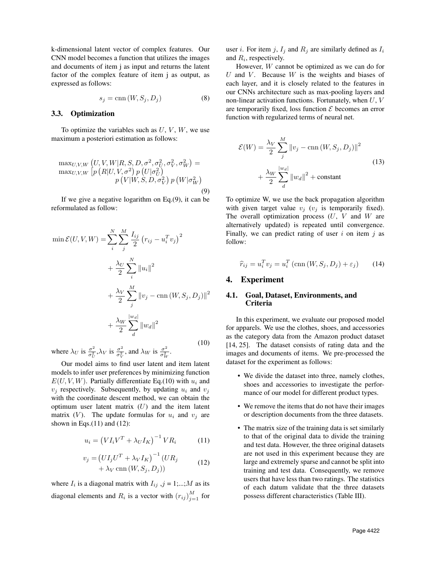k-dimensional latent vector of complex features. Our CNN model becomes a function that utilizes the images and documents of item j as input and returns the latent factor of the complex feature of item j as output, as expressed as follows:

$$
s_j = \text{cnn}(W, S_j, D_j) \tag{8}
$$

### 3.3. Optimization

To optimize the variables such as  $U, V, W$ , we use maximum a posteriori estimation as follows:

$$
\max_{U,V,W} \left( U, V, W | R, S, D, \sigma^2, \sigma_U^2, \sigma_V^2, \sigma_W^2 \right) = \max_{U,V,W} \left[ p\left( R | U, V, \sigma^2 \right) p\left( U | \sigma_U^2 \right) \right] \newline p\left( V | W, S, D, \sigma_V^2 \right) p\left( W | \sigma_W^2 \right) \newline p\left( W | \sigma_W^2 \right) \tag{9}
$$

If we give a negative logarithm on Eq.(9), it can be reformulated as follow:

$$
\min \mathcal{E}(U, V, W) = \sum_{i}^{N} \sum_{j}^{M} \frac{I_{ij}}{2} (r_{ij} - u_i^T v_j)^2
$$

$$
+ \frac{\lambda_U}{2} \sum_{i}^{N} ||u_i||^2
$$

$$
+ \frac{\lambda_V}{2} \sum_{j}^{M} ||v_j - \text{cnn}(W, S_j, D_j)||^2
$$

$$
+ \frac{\lambda_W}{2} \sum_{d}^{|w_d|} ||w_d||^2
$$
(10)

where  $\lambda_U$  is  $\frac{\sigma^2}{\sigma^2}$  $\frac{\sigma^2}{\sigma_U^2}$ ,  $\lambda_V$  is  $\frac{\sigma^2}{\sigma_V^2}$  $\frac{\sigma^2}{\sigma_V^2}$ , and  $\lambda_W$  is  $\frac{\sigma^2}{\sigma_W^2}$  $\frac{\sigma^2}{\sigma_W^2}$ .

Our model aims to find user latent and item latent models to infer user preferences by minimizing function  $E(U, V, W)$ . Partially differentiate Eq.(10) with  $u_i$  and  $v_i$  respectively. Subsequently, by updating  $u_i$  and  $v_j$ with the coordinate descent method, we can obtain the optimum user latent matrix  $(U)$  and the item latent matrix (V). The update formulas for  $u_i$  and  $v_j$  are shown in Eqs. $(11)$  and  $(12)$ :

$$
u_i = \left(VI_iV^T + \lambda_UI_K\right)^{-1}VR_i\tag{11}
$$

$$
v_j = (UI_jU^T + \lambda_V I_K)^{-1} (UR_j + \lambda_V \operatorname{cnn}(W, S_j, D_j))
$$
\n(12)

where  $I_i$  is a diagonal matrix with  $I_{ij}$ ,  $j = 1,...;M$  as its diagonal elements and  $R_i$  is a vector with  $(r_{ij})_{j=1}^M$  for user *i*. For item *j*,  $I_j$  and  $R_j$  are similarly defined as  $I_i$ and  $R_i$ , respectively.

However, W cannot be optimized as we can do for U and V. Because  $W$  is the weights and biases of each layer, and it is closely related to the features in our CNNs architecture such as max-pooling layers and non-linear activation functions. Fortunately, when  $U, V$ are temporarily fixed, loss function  $\mathcal E$  becomes an error function with regularized terms of neural net.

$$
\mathcal{E}(W) = \frac{\lambda_V}{2} \sum_{j}^{M} \left\| v_j - \text{cnn}(W, S_j, D_j) \right\|^2
$$
  
+ 
$$
\frac{\lambda_W}{2} \sum_{d}^{|w_d|} \left\| w_d \right\|^2 + \text{constant}
$$
 (13)

To optimize W, we use the back propagation algorithm with given target value  $v_i$  ( $v_i$  is temporarily fixed). The overall optimization process  $(U, V)$  and  $W$  are alternatively updated) is repeated until convergence. Finally, we can predict rating of user  $i$  on item  $j$  as follow:

$$
\widehat{r}_{ij} = u_i^T v_j = u_i^T \left( \text{cnn}(W, S_j, D_j) + \varepsilon_j \right) \tag{14}
$$

### 4. Experiment

## 4.1. Goal, Dataset, Environments, and Criteria

In this experiment, we evaluate our proposed model for apparels. We use the clothes, shoes, and accessories as the category data from the Amazon product dataset [14, 25]. The dataset consists of rating data and the images and documents of items. We pre-processed the dataset for the experiment as follows:

- We divide the dataset into three, namely clothes, shoes and accessories to investigate the performance of our model for different product types.
- We remove the items that do not have their images or description documents from the three datasets.
- The matrix size of the training data is set similarly to that of the original data to divide the training and test data. However, the three original datasets are not used in this experiment because they are large and extremely sparse and cannot be split into training and test data. Consequently, we remove users that have less than two ratings. The statistics of each datum validate that the three datasets possess different characteristics (Table III).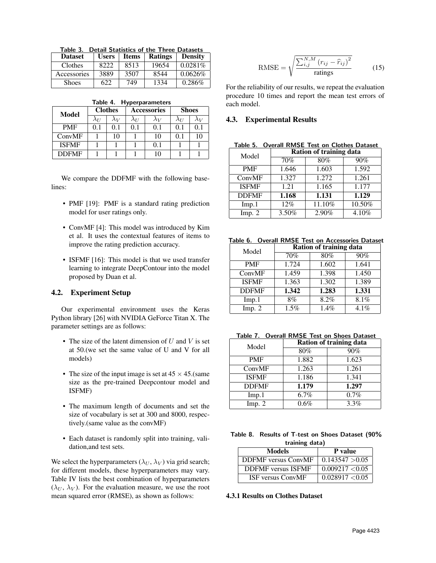|  | Table 3. Detail Statistics of the Three Datasets |  |  |
|--|--------------------------------------------------|--|--|
|  |                                                  |  |  |

| <b>Dataset</b> | <b>Users</b> | <b>Items</b> | <b>Ratings</b> | <b>Density</b> |
|----------------|--------------|--------------|----------------|----------------|
| Clothes        | 8222         | 8513         | 19654          | $0.0281\%$     |
| Accessories    | 3889         | 3507         | 8544           | 0.0626%        |
| <b>Shoes</b>   | 622          | 749          | 1334           | $0.286\%$      |

|  | Table 4. Hyperparameters |
|--|--------------------------|
|--|--------------------------|

| Model        | <b>Clothes</b> |             |             | Accessories | <b>Shoes</b>  |             |
|--------------|----------------|-------------|-------------|-------------|---------------|-------------|
|              | $\lambda_{II}$ | $\lambda_V$ | $\lambda_U$ | $\lambda_V$ | $\lambda_{U}$ | $\lambda_V$ |
| <b>PMF</b>   | 0.1            | 0.1         | 0.1         | 0.1         | 01            | 0.1         |
| ConvMF       |                | 10          |             | 10          | 01            | 10          |
| <b>ISFMF</b> |                |             |             | 0.1         |               |             |
| <b>DDFMF</b> |                |             |             |             |               |             |

We compare the DDFMF with the following baselines:

- PMF [19]: PMF is a standard rating prediction model for user ratings only.
- ConvMF [4]: This model was introduced by Kim et al. It uses the contextual features of items to improve the rating prediction accuracy.
- ISFMF [16]: This model is that we used transfer learning to integrate DeepContour into the model proposed by Duan et al.

# 4.2. Experiment Setup

Our experimental environment uses the Keras Python library [26] with NVIDIA GeForce Titan X. The parameter settings are as follows:

- The size of the latent dimension of  $U$  and  $V$  is set at 50.(we set the same value of U and V for all models)
- The size of the input image is set at  $45 \times 45$ . (same size as the pre-trained Deepcontour model and ISFMF)
- The maximum length of documents and set the size of vocabulary is set at 300 and 8000, respectively.(same value as the convMF)
- Each dataset is randomly split into training, validation,and test sets.

We select the hyperparameters ( $\lambda_U$ ,  $\lambda_V$ ) via grid search; for different models, these hyperparameters may vary. Table IV lists the best combination of hyperparameters  $(\lambda_U, \lambda_V)$ . For the evaluation measure, we use the root mean squared error (RMSE), as shown as follows:

$$
\text{RMSE} = \sqrt{\frac{\sum_{i,j}^{N,M} (r_{ij} - \hat{r}_{ij})^2}{\text{ratings}}}
$$
(15)

For the reliability of our results, we repeat the evaluation procedure 10 times and report the mean test errors of each model.

#### 4.3. Experimental Results

Table 5. Overall RMSE Test on Clothes Dataset

| Model        | Ration of training data |        |        |  |  |
|--------------|-------------------------|--------|--------|--|--|
|              | 70%                     | 80%    | 90%    |  |  |
| <b>PMF</b>   | 1.646                   | 1.603  | 1.592  |  |  |
| ConvMF       | 1.327                   | 1.272  | 1.261  |  |  |
| <b>ISFMF</b> | 1.21                    | 1.165  | 1.177  |  |  |
| <b>DDFMF</b> | 1.168                   | 1.131  | 1.129  |  |  |
| Imp.1        | 12%                     | 11.10% | 10.50% |  |  |
| Imp. 2       | 3.50%                   | 2.90%  | 4.10%  |  |  |

Table 6. Overall RMSE Test on Accessories Dataset

| Model        | Ration of training data |       |       |  |
|--------------|-------------------------|-------|-------|--|
|              | 70%                     | 80%   | 90%   |  |
| <b>PMF</b>   | 1.724                   | 1.602 | 1.641 |  |
| ConvMF       | 1.459                   | 1.398 | 1.450 |  |
| <b>ISFMF</b> | 1.363                   | 1.302 | 1.389 |  |
| <b>DDFMF</b> | 1.342                   | 1.283 | 1.331 |  |
| Imp.1        | 8%                      | 8.2%  | 8.1%  |  |
| Imp. 2       | 1.5%                    | 1.4%  | 4.1%  |  |

| Table 7. Overall RMSE Test on Shoes Dataset |  |  |  |
|---------------------------------------------|--|--|--|
|                                             |  |  |  |

| Model        | Ration of training data |       |  |  |  |
|--------------|-------------------------|-------|--|--|--|
|              | 80%                     | 90%   |  |  |  |
| <b>PMF</b>   | 1.882                   | 1.623 |  |  |  |
| ConvMF       | 1.263                   | 1.261 |  |  |  |
| <b>ISFMF</b> | 1.186                   | 1.341 |  |  |  |
| <b>DDFMF</b> | 1.179                   | 1.297 |  |  |  |
| Imp.1        | 6.7%                    | 0.7%  |  |  |  |
| Imp. $2$     | $0.6\%$                 | 3.3%  |  |  |  |

| Table 8. Results of T-test on Shoes Dataset (90% |
|--------------------------------------------------|
| training data)                                   |

| Models                     | P value         |
|----------------------------|-----------------|
| <b>DDFMF</b> versus ConvMF | 0.143547 > 0.05 |
| <b>DDFMF</b> versus ISFMF  | 0.009217 < 0.05 |
| ISF versus ConvMF          | 0.028917 < 0.05 |

# 4.3.1 Results on Clothes Dataset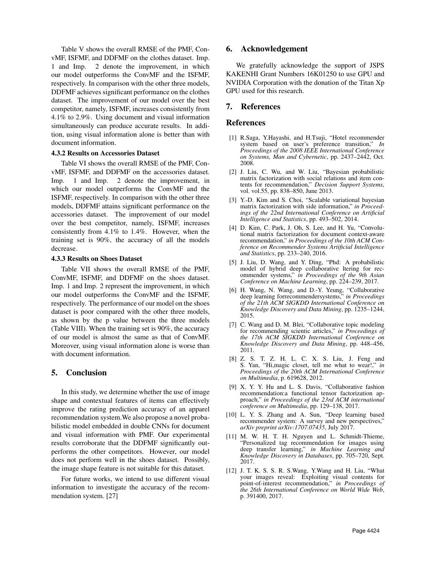Table V shows the overall RMSE of the PMF, ConvMF, ISFMF, and DDFMF on the clothes dataset. Imp. 1 and Imp. 2 denote the improvement, in which our model outperforms the ConvMF and the ISFMF, respectively. In comparison with the other three models, DDFMF achieves significant performance on the clothes dataset. The improvement of our model over the best competitor, namely, ISFMF, increases consistently from 4.1% to 2.9%. Using document and visual information simultaneously can produce accurate results. In addition, using visual information alone is better than with document information.

#### 4.3.2 Results on Accessories Dataset

Table VI shows the overall RMSE of the PMF, ConvMF, ISFMF, and DDFMF on the accessories dataset. Imp. 1 and Imp. 2 denote the improvement, in which our model outperforms the ConvMF and the ISFMF, respectively. In comparison with the other three models, DDFMF attains significant performance on the accessories dataset. The improvement of our model over the best competitor, namely, ISFMF, increases consistently from 4.1% to 1.4%. However, when the training set is 90%, the accuracy of all the models decrease.

#### 4.3.3 Results on Shoes Dataset

Table VII shows the overall RMSE of the PMF, ConvMF, ISFMF, and DDFMF on the shoes dataset. Imp. 1 and Imp. 2 represent the improvement, in which our model outperforms the ConvMF and the ISFMF, respectively. The performance of our model on the shoes dataset is poor compared with the other three models, as shown by the p value between the three models (Table VIII). When the training set is 90%, the accuracy of our model is almost the same as that of ConvMF. Moreover, using visual information alone is worse than with document information.

### 5. Conclusion

In this study, we determine whether the use of image shape and contextual features of items can effectively improve the rating prediction accuracy of an apparel recommendation system.We also propose a novel probabilistic model embedded in double CNNs for document and visual information with PMF. Our experimental results corroborate that the DDFMF significantly outperforms the other competitors. However, our model does not perform well in the shoes dataset. Possibly, the image shape feature is not suitable for this dataset.

For future works, we intend to use different visual information to investigate the accuracy of the recommendation system. [27]

# 6. Acknowledgement

We gratefully acknowledge the support of JSPS KAKENHI Grant Numbers 16K01250 to use GPU and NVIDIA Corporation with the donation of the Titan Xp GPU used for this research.

#### 7. References

#### References

- [1] R.Saga, Y.Hayashi, and H.Tsuji, "Hotel recommender system based on user's preference transition," *In Proceedings of the 2008 IEEE International Conference on Systems, Man and Cybernetic*, pp. 2437–2442, Oct. 2008.
- [2] J. Liu, C. Wu, and W. Liu, "Bayesian probabilistic matrix factorization with social relations and item contents for recommendation," *Decision Support Systems*, vol. vol.55, pp. 838–850, June 2013.
- [3] Y.-D. Kim and S. Choi, "Scalable variational bayesian matrix factorization with side information," *in Proceedings of the 22nd International Conference on Artificial Intelligence and Statistics*, pp. 493–502, 2014.
- [4] D. Kim, C. Park, J. Oh, S. Lee, and H. Yu, "Convolutional matrix factorization for document context-aware recommendation," *in Proceedings of the 10th ACM Conference on Recommender Systems Artificial Intelligence and Statistics*, pp. 233–240, 2016.
- [5] J. Liu, D. Wang, and Y. Ding, "Phd: A probabilistic model of hybrid deep collaborative ltering for recommender systems," *in Proceedings of the 9th Asian Conference on Machine Learning*, pp. 224–239, 2017.
- [6] H. Wang, N. Wang, and D.-Y. Yeung, "Collaborative deep learning forrecommendersystems," *in Proceedings of the 21th ACM SIGKDD International Conference on Knowledge Discovery and Data Mining*, pp. 1235–1244, 2015.
- [7] C. Wang and D. M. Blei, "Collaborative topic modeling for recommending scientic articles," *in Proceedings of the 17th ACM SIGKDD International Conference on Knowledge Discovery and Data Mining*, pp. 448–456, 2011.
- [8] Z. S. T. Z. H. L. C. X. S. Liu, J. Feng and S. Yan, "Hi,magic closet, tell me what to wear!," *in Proceedings of the 20th ACM International Conference on Multimedia*, p. 619628, 2012.
- [9] X. Y. Y. Hu and L. S. Davis, "Collaborative fashion recommendation:a functional tensor factorization approach," *in Proceedings of the 23rd ACM international conference on Multimedia*, pp. 129–138, 2017.
- [10] L. Y. S. Zhang and A. Sun, "Deep learning based recommender system: A survey and new perspectives," *arXiv preprint arXiv:1707.07435*, July 2017.
- [11] M. W. H. T. H. Nguyen and L. Schmidt-Thieme, "Personalized tag recommendation for images using deep transfer learning," *in Machine Learning and Knowledge Discovery in Databases*, pp. 705–720, Sept. 2017.
- [12] J. T. K. S. S. R. S.Wang, Y.Wang and H. Liu, "What your images reveal: Exploiting visual contents for point-of-interest recommendation," *in Proceedings of the 26th International Conference on World Wide Web*, p. 391400, 2017.